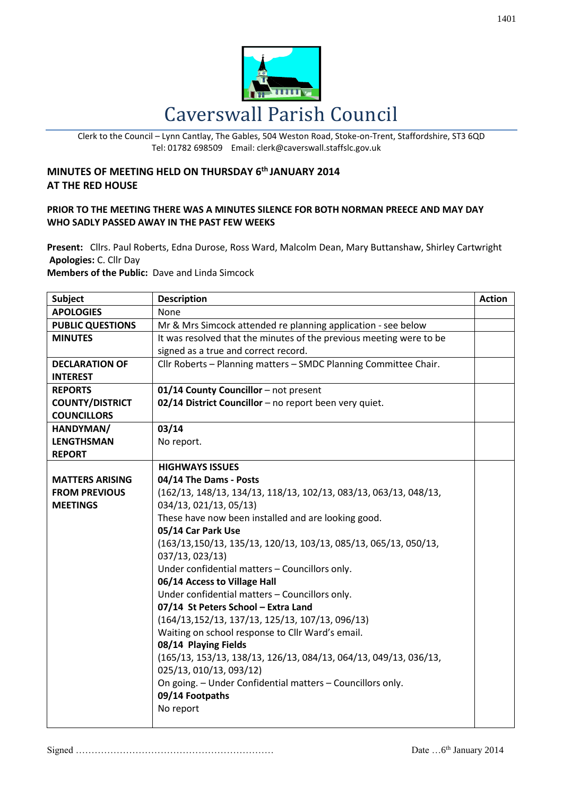

Clerk to the Council – Lynn Cantlay, The Gables, 504 Weston Road, Stoke-on-Trent, Staffordshire, ST3 6QD Tel: 01782 698509 Email: clerk@caverswall.staffslc.gov.uk

## **MINUTES OF MEETING HELD ON THURSDAY 6 th JANUARY 2014 AT THE RED HOUSE**

## **PRIOR TO THE MEETING THERE WAS A MINUTES SILENCE FOR BOTH NORMAN PREECE AND MAY DAY WHO SADLY PASSED AWAY IN THE PAST FEW WEEKS**

**Present:** Cllrs. Paul Roberts, Edna Durose, Ross Ward, Malcolm Dean, Mary Buttanshaw, Shirley Cartwright **Apologies:** C. Cllr Day

**Members of the Public:** Dave and Linda Simcock

| <b>Subject</b>          | <b>Description</b>                                                  | <b>Action</b> |
|-------------------------|---------------------------------------------------------------------|---------------|
| <b>APOLOGIES</b>        | None                                                                |               |
| <b>PUBLIC QUESTIONS</b> | Mr & Mrs Simcock attended re planning application - see below       |               |
| <b>MINUTES</b>          | It was resolved that the minutes of the previous meeting were to be |               |
|                         | signed as a true and correct record.                                |               |
| <b>DECLARATION OF</b>   | Cllr Roberts - Planning matters - SMDC Planning Committee Chair.    |               |
| <b>INTEREST</b>         |                                                                     |               |
| <b>REPORTS</b>          | 01/14 County Councillor - not present                               |               |
| <b>COUNTY/DISTRICT</b>  | 02/14 District Councillor - no report been very quiet.              |               |
| <b>COUNCILLORS</b>      |                                                                     |               |
| HANDYMAN/               | 03/14                                                               |               |
| <b>LENGTHSMAN</b>       | No report.                                                          |               |
| <b>REPORT</b>           |                                                                     |               |
|                         | <b>HIGHWAYS ISSUES</b>                                              |               |
| <b>MATTERS ARISING</b>  | 04/14 The Dams - Posts                                              |               |
| <b>FROM PREVIOUS</b>    | (162/13, 148/13, 134/13, 118/13, 102/13, 083/13, 063/13, 048/13,    |               |
| <b>MEETINGS</b>         | 034/13, 021/13, 05/13)                                              |               |
|                         | These have now been installed and are looking good.                 |               |
|                         | 05/14 Car Park Use                                                  |               |
|                         | (163/13,150/13, 135/13, 120/13, 103/13, 085/13, 065/13, 050/13,     |               |
|                         | 037/13, 023/13)<br>Under confidential matters - Councillors only.   |               |
|                         | 06/14 Access to Village Hall                                        |               |
|                         | Under confidential matters - Councillors only.                      |               |
|                         | 07/14 St Peters School - Extra Land                                 |               |
|                         | $(164/13, 152/13, 137/13, 125/13, 107/13, 096/13)$                  |               |
|                         | Waiting on school response to Cllr Ward's email.                    |               |
|                         | 08/14 Playing Fields                                                |               |
|                         | (165/13, 153/13, 138/13, 126/13, 084/13, 064/13, 049/13, 036/13,    |               |
|                         | 025/13, 010/13, 093/12)                                             |               |
|                         | On going. - Under Confidential matters - Councillors only.          |               |
|                         | 09/14 Footpaths                                                     |               |
|                         | No report                                                           |               |
|                         |                                                                     |               |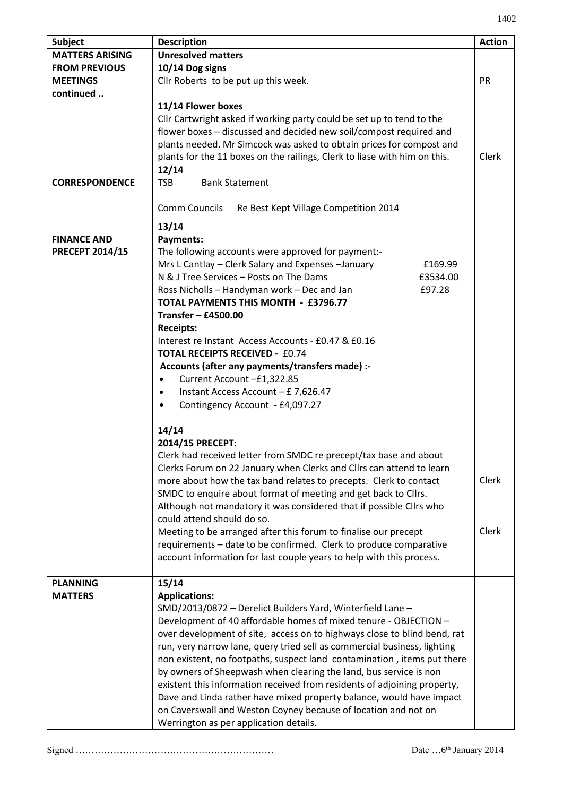| ı |  |
|---|--|
|---|--|

| <b>Subject</b>         | <b>Description</b>                                                                                                             | <b>Action</b> |
|------------------------|--------------------------------------------------------------------------------------------------------------------------------|---------------|
| <b>MATTERS ARISING</b> | <b>Unresolved matters</b>                                                                                                      |               |
| <b>FROM PREVIOUS</b>   | 10/14 Dog signs                                                                                                                |               |
| <b>MEETINGS</b>        | Cllr Roberts to be put up this week.                                                                                           | PR            |
| continued              |                                                                                                                                |               |
|                        | 11/14 Flower boxes                                                                                                             |               |
|                        | Cllr Cartwright asked if working party could be set up to tend to the                                                          |               |
|                        | flower boxes - discussed and decided new soil/compost required and                                                             |               |
|                        | plants needed. Mr Simcock was asked to obtain prices for compost and                                                           |               |
|                        | plants for the 11 boxes on the railings, Clerk to liase with him on this.                                                      | Clerk         |
|                        | 12/14                                                                                                                          |               |
| <b>CORRESPONDENCE</b>  | <b>TSB</b><br><b>Bank Statement</b>                                                                                            |               |
|                        |                                                                                                                                |               |
|                        | <b>Comm Councils</b><br>Re Best Kept Village Competition 2014                                                                  |               |
|                        | 13/14                                                                                                                          |               |
| <b>FINANCE AND</b>     | Payments:                                                                                                                      |               |
| <b>PRECEPT 2014/15</b> | The following accounts were approved for payment:-                                                                             |               |
|                        | Mrs L Cantlay - Clerk Salary and Expenses - January<br>£169.99                                                                 |               |
|                        | N & J Tree Services - Posts on The Dams<br>£3534.00                                                                            |               |
|                        | Ross Nicholls - Handyman work - Dec and Jan<br>£97.28                                                                          |               |
|                        | TOTAL PAYMENTS THIS MONTH - £3796.77                                                                                           |               |
|                        | Transfer $-$ £4500.00                                                                                                          |               |
|                        | <b>Receipts:</b><br>Interest re Instant Access Accounts - £0.47 & £0.16                                                        |               |
|                        | <b>TOTAL RECEIPTS RECEIVED - £0.74</b>                                                                                         |               |
|                        | Accounts (after any payments/transfers made) :-                                                                                |               |
|                        | Current Account - £1,322.85<br>$\bullet$                                                                                       |               |
|                        | Instant Access Account - £ 7,626.47<br>$\bullet$                                                                               |               |
|                        | Contingency Account - £4,097.27<br>$\bullet$                                                                                   |               |
|                        |                                                                                                                                |               |
|                        | 14/14                                                                                                                          |               |
|                        | 2014/15 PRECEPT:                                                                                                               |               |
|                        | Clerk had received letter from SMDC re precept/tax base and about                                                              |               |
|                        | Clerks Forum on 22 January when Clerks and Cllrs can attend to learn                                                           |               |
|                        | more about how the tax band relates to precepts. Clerk to contact                                                              | Clerk         |
|                        | SMDC to enquire about format of meeting and get back to Cllrs.                                                                 |               |
|                        | Although not mandatory it was considered that if possible Cllrs who                                                            |               |
|                        | could attend should do so.                                                                                                     |               |
|                        | Meeting to be arranged after this forum to finalise our precept                                                                | Clerk         |
|                        | requirements - date to be confirmed. Clerk to produce comparative                                                              |               |
|                        | account information for last couple years to help with this process.                                                           |               |
| <b>PLANNING</b>        |                                                                                                                                |               |
|                        | 15/14                                                                                                                          |               |
| <b>MATTERS</b>         | <b>Applications:</b>                                                                                                           |               |
|                        | SMD/2013/0872 - Derelict Builders Yard, Winterfield Lane -<br>Development of 40 affordable homes of mixed tenure - OBJECTION - |               |
|                        | over development of site, access on to highways close to blind bend, rat                                                       |               |
|                        | run, very narrow lane, query tried sell as commercial business, lighting                                                       |               |
|                        | non existent, no footpaths, suspect land contamination, items put there                                                        |               |
|                        | by owners of Sheepwash when clearing the land, bus service is non                                                              |               |
|                        | existent this information received from residents of adjoining property,                                                       |               |
|                        | Dave and Linda rather have mixed property balance, would have impact                                                           |               |
|                        | on Caverswall and Weston Coyney because of location and not on                                                                 |               |
|                        | Werrington as per application details.                                                                                         |               |